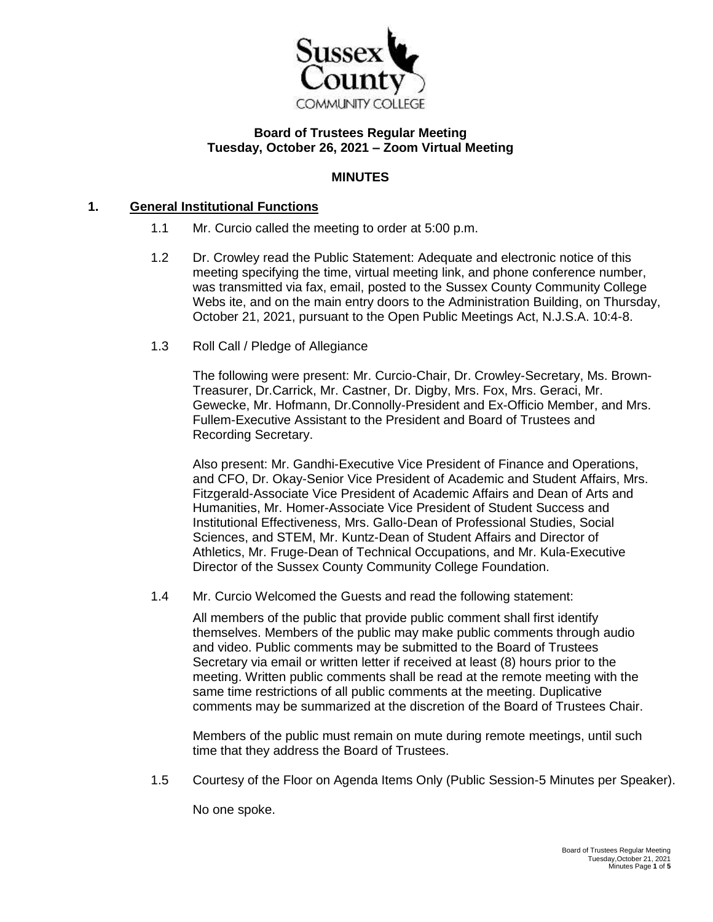

#### **Board of Trustees Regular Meeting Tuesday, October 26, 2021 – Zoom Virtual Meeting**

# **MINUTES**

#### **1. General Institutional Functions**

- 1.1 Mr. Curcio called the meeting to order at 5:00 p.m.
- 1.2 Dr. Crowley read the Public Statement: Adequate and electronic notice of this meeting specifying the time, virtual meeting link, and phone conference number, was transmitted via fax, email, posted to the Sussex County Community College Webs ite, and on the main entry doors to the Administration Building, on Thursday, October 21, 2021, pursuant to the Open Public Meetings Act, N.J.S.A. 10:4-8.
- 1.3 Roll Call / Pledge of Allegiance

The following were present: Mr. Curcio-Chair, Dr. Crowley-Secretary, Ms. Brown-Treasurer, Dr.Carrick, Mr. Castner, Dr. Digby, Mrs. Fox, Mrs. Geraci, Mr. Gewecke, Mr. Hofmann, Dr.Connolly-President and Ex-Officio Member, and Mrs. Fullem-Executive Assistant to the President and Board of Trustees and Recording Secretary.

Also present: Mr. Gandhi-Executive Vice President of Finance and Operations, and CFO, Dr. Okay-Senior Vice President of Academic and Student Affairs, Mrs. Fitzgerald-Associate Vice President of Academic Affairs and Dean of Arts and Humanities, Mr. Homer-Associate Vice President of Student Success and Institutional Effectiveness, Mrs. Gallo-Dean of Professional Studies, Social Sciences, and STEM, Mr. Kuntz-Dean of Student Affairs and Director of Athletics, Mr. Fruge-Dean of Technical Occupations, and Mr. Kula-Executive Director of the Sussex County Community College Foundation.

1.4 Mr. Curcio Welcomed the Guests and read the following statement:

All members of the public that provide public comment shall first identify themselves. Members of the public may make public comments through audio and video. Public comments may be submitted to the Board of Trustees Secretary via email or written letter if received at least (8) hours prior to the meeting. Written public comments shall be read at the remote meeting with the same time restrictions of all public comments at the meeting. Duplicative comments may be summarized at the discretion of the Board of Trustees Chair.

Members of the public must remain on mute during remote meetings, until such time that they address the Board of Trustees.

1.5 Courtesy of the Floor on Agenda Items Only (Public Session-5 Minutes per Speaker).

No one spoke.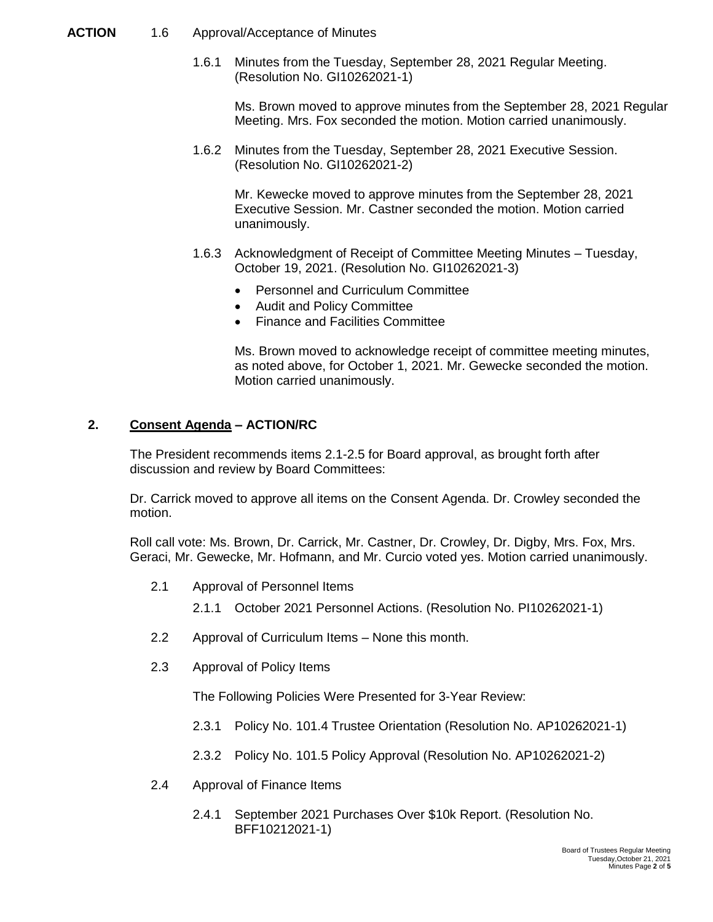#### **ACTION** 1.6 Approval/Acceptance of Minutes

1.6.1 Minutes from the Tuesday, September 28, 2021 Regular Meeting. (Resolution No. GI10262021-1)

Ms. Brown moved to approve minutes from the September 28, 2021 Regular Meeting. Mrs. Fox seconded the motion. Motion carried unanimously.

1.6.2 Minutes from the Tuesday, September 28, 2021 Executive Session. (Resolution No. GI10262021-2)

Mr. Kewecke moved to approve minutes from the September 28, 2021 Executive Session. Mr. Castner seconded the motion. Motion carried unanimously.

- 1.6.3 Acknowledgment of Receipt of Committee Meeting Minutes Tuesday, October 19, 2021. (Resolution No. GI10262021-3)
	- Personnel and Curriculum Committee
	- Audit and Policy Committee
	- Finance and Facilities Committee

Ms. Brown moved to acknowledge receipt of committee meeting minutes, as noted above, for October 1, 2021. Mr. Gewecke seconded the motion. Motion carried unanimously.

## **2. Consent Agenda – ACTION/RC**

The President recommends items 2.1-2.5 for Board approval, as brought forth after discussion and review by Board Committees:

Dr. Carrick moved to approve all items on the Consent Agenda. Dr. Crowley seconded the motion.

Roll call vote: Ms. Brown, Dr. Carrick, Mr. Castner, Dr. Crowley, Dr. Digby, Mrs. Fox, Mrs. Geraci, Mr. Gewecke, Mr. Hofmann, and Mr. Curcio voted yes. Motion carried unanimously.

- 2.1 Approval of Personnel Items
	- 2.1.1 October 2021 Personnel Actions. (Resolution No. PI10262021-1)
- 2.2 Approval of Curriculum Items None this month.
- 2.3 Approval of Policy Items

The Following Policies Were Presented for 3-Year Review:

- 2.3.1 Policy No. 101.4 Trustee Orientation (Resolution No. AP10262021-1)
- 2.3.2 Policy No. 101.5 Policy Approval (Resolution No. AP10262021-2)
- 2.4 Approval of Finance Items
	- 2.4.1 September 2021 Purchases Over \$10k Report. (Resolution No. BFF10212021-1)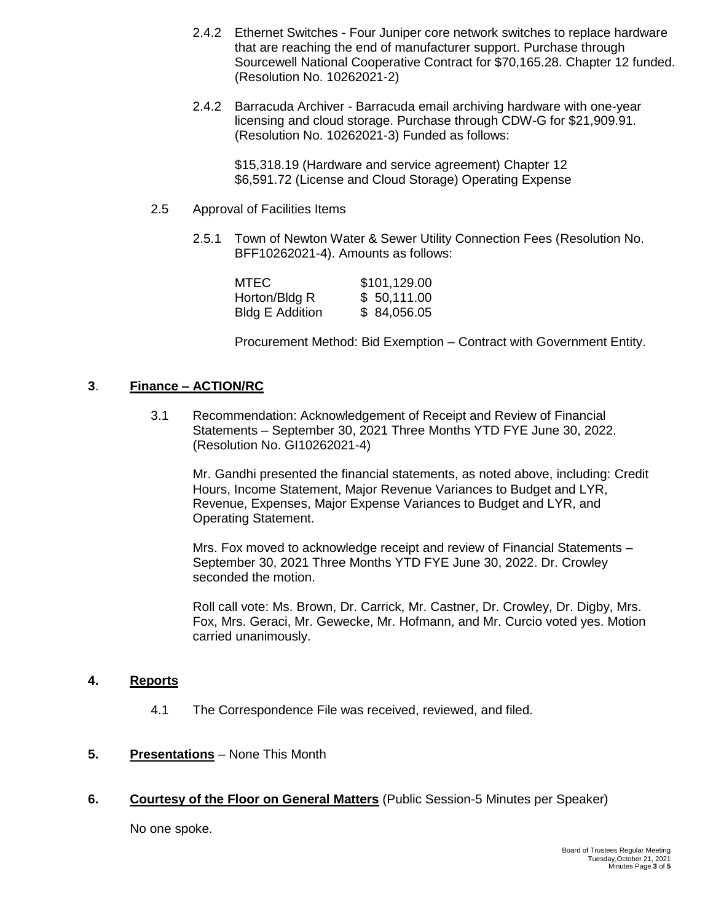- 2.4.2 Ethernet Switches Four Juniper core network switches to replace hardware that are reaching the end of manufacturer support. Purchase through Sourcewell National Cooperative Contract for \$70,165.28. Chapter 12 funded. (Resolution No. 10262021-2)
- 2.4.2 Barracuda Archiver Barracuda email archiving hardware with one-year licensing and cloud storage. Purchase through CDW-G for \$21,909.91. (Resolution No. 10262021-3) Funded as follows:

\$15,318.19 (Hardware and service agreement) Chapter 12 \$6,591.72 (License and Cloud Storage) Operating Expense

- 2.5 Approval of Facilities Items
	- 2.5.1 Town of Newton Water & Sewer Utility Connection Fees (Resolution No. BFF10262021-4). Amounts as follows:

| MTEC.                  | \$101,129.00 |
|------------------------|--------------|
| Horton/Bldg R          | \$50,111.00  |
| <b>Bldg E Addition</b> | \$ 84,056.05 |

Procurement Method: Bid Exemption – Contract with Government Entity.

## **3**. **Finance – ACTION/RC**

3.1 Recommendation: Acknowledgement of Receipt and Review of Financial Statements – September 30, 2021 Three Months YTD FYE June 30, 2022. (Resolution No. GI10262021-4)

Mr. Gandhi presented the financial statements, as noted above, including: Credit Hours, Income Statement, Major Revenue Variances to Budget and LYR, Revenue, Expenses, Major Expense Variances to Budget and LYR, and Operating Statement.

Mrs. Fox moved to acknowledge receipt and review of Financial Statements – September 30, 2021 Three Months YTD FYE June 30, 2022. Dr. Crowley seconded the motion.

Roll call vote: Ms. Brown, Dr. Carrick, Mr. Castner, Dr. Crowley, Dr. Digby, Mrs. Fox, Mrs. Geraci, Mr. Gewecke, Mr. Hofmann, and Mr. Curcio voted yes. Motion carried unanimously.

## **4. Reports**

4.1 The Correspondence File was received, reviewed, and filed.

## **5. Presentations** – None This Month

**6. Courtesy of the Floor on General Matters** (Public Session-5 Minutes per Speaker)

No one spoke.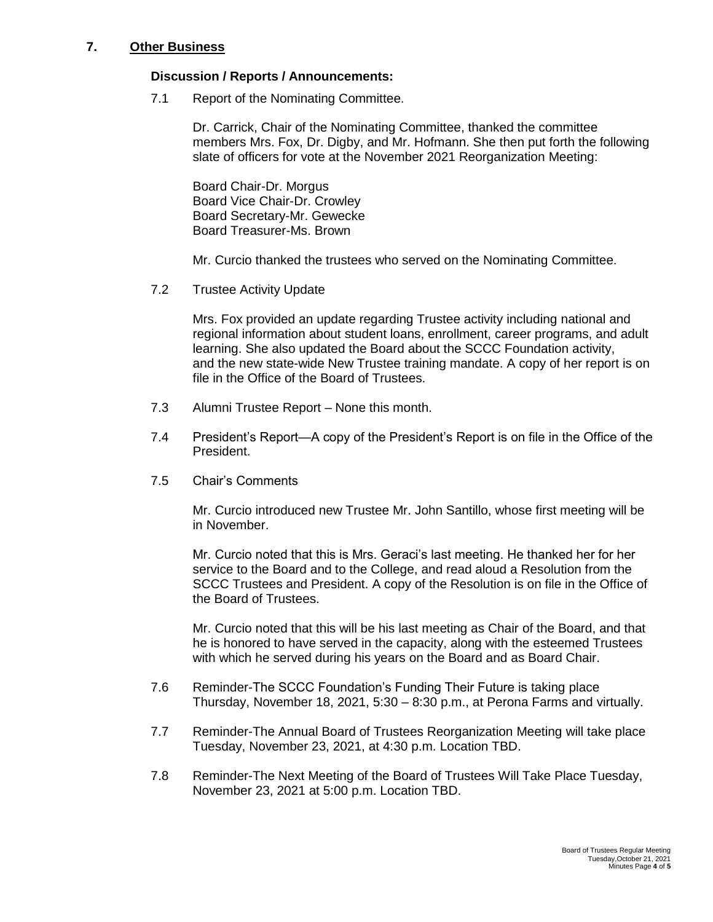## **7. Other Business**

#### **Discussion / Reports / Announcements:**

7.1 Report of the Nominating Committee.

Dr. Carrick, Chair of the Nominating Committee, thanked the committee members Mrs. Fox, Dr. Digby, and Mr. Hofmann. She then put forth the following slate of officers for vote at the November 2021 Reorganization Meeting:

Board Chair-Dr. Morgus Board Vice Chair-Dr. Crowley Board Secretary-Mr. Gewecke Board Treasurer-Ms. Brown

Mr. Curcio thanked the trustees who served on the Nominating Committee.

7.2 Trustee Activity Update

Mrs. Fox provided an update regarding Trustee activity including national and regional information about student loans, enrollment, career programs, and adult learning. She also updated the Board about the SCCC Foundation activity, and the new state-wide New Trustee training mandate. A copy of her report is on file in the Office of the Board of Trustees.

- 7.3 Alumni Trustee Report None this month.
- 7.4 President's Report—A copy of the President's Report is on file in the Office of the President.
- 7.5 Chair's Comments

Mr. Curcio introduced new Trustee Mr. John Santillo, whose first meeting will be in November.

Mr. Curcio noted that this is Mrs. Geraci's last meeting. He thanked her for her service to the Board and to the College, and read aloud a Resolution from the SCCC Trustees and President. A copy of the Resolution is on file in the Office of the Board of Trustees.

Mr. Curcio noted that this will be his last meeting as Chair of the Board, and that he is honored to have served in the capacity, along with the esteemed Trustees with which he served during his years on the Board and as Board Chair.

- 7.6 Reminder-The SCCC Foundation's Funding Their Future is taking place Thursday, November 18, 2021, 5:30 – 8:30 p.m., at Perona Farms and virtually.
- 7.7 Reminder-The Annual Board of Trustees Reorganization Meeting will take place Tuesday, November 23, 2021, at 4:30 p.m. Location TBD.
- 7.8 Reminder-The Next Meeting of the Board of Trustees Will Take Place Tuesday, November 23, 2021 at 5:00 p.m. Location TBD.